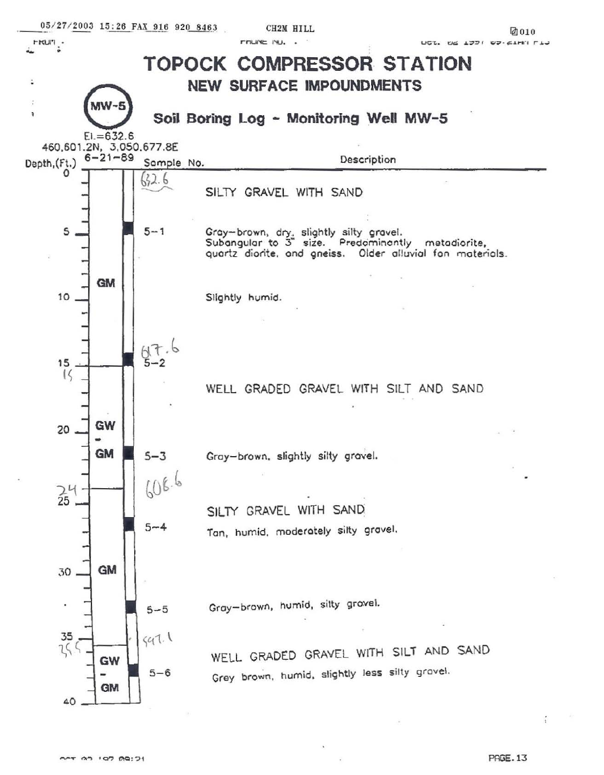

OCT 00 107 00:21

**PAGE.13**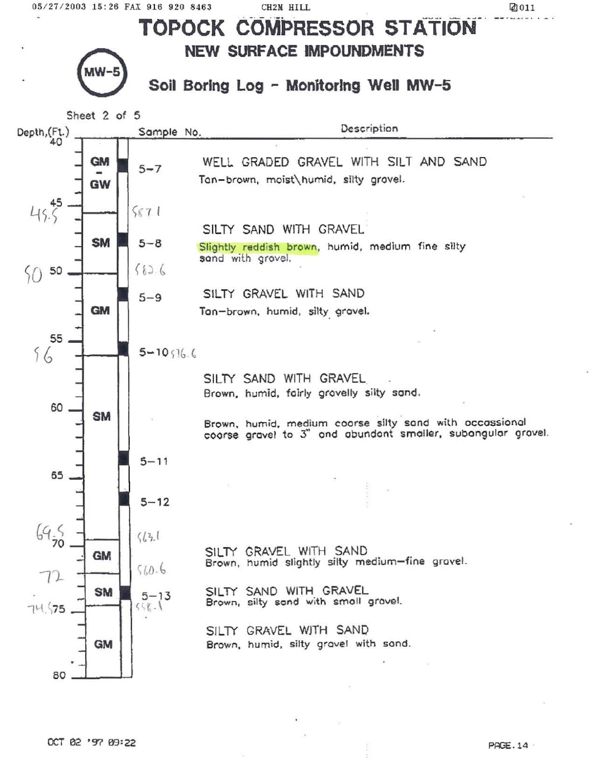Ø011

**TOPOCK COMPRESSOR STATION NEW SURFACE IMPOUNDMENTS** Soil Boring Log - Monitoring Well MW-5 Sheet 2 of 5 Description Depth, (Ft.) Sample No.  $40$ **GM** WELL GRADED GRAVEL WITH SILT AND SAND  $5 - 7$  $\overline{a}$ Tan-brown, moist\humid, silty grovel. GW 45  $45.5$  $5671$ SILTY SAND WITH GRAVEL **SM**  $5 - 8$ Slightly reddish brown, humid, medium fine silty sand with grovel.  $6826$ 50 50 SILTY GRAVEL WITH SAND  $5 - 9$ **GM** Tan-brown, humid, silty grovel. 55  $56$  $5 - 10$   $16.6$ SILTY SAND WITH GRAVEL Brown, humid, fairly grovelly silty sand. 60 **SM** Brown, humid, medium coorse silty sand with occassional coorse gravel to 3" and abundant smaller, subangular gravel.  $5 - 11$ 65  $5 - 12$  $69,000$  $\frac{1}{6}$ SILTY GRAVEL WITH SAND **GM** Brown, humid slightly silty medium-fine gravel.  $510.6$ 72 SILTY SAND WITH GRAVEL **SM**  $5 - 13$ Brown, silty sand with small gravel.  $558.1$  $74.575$ SILTY GRAVEL WITH SAND **GM** Brown, humid, silty gravel with sand. 80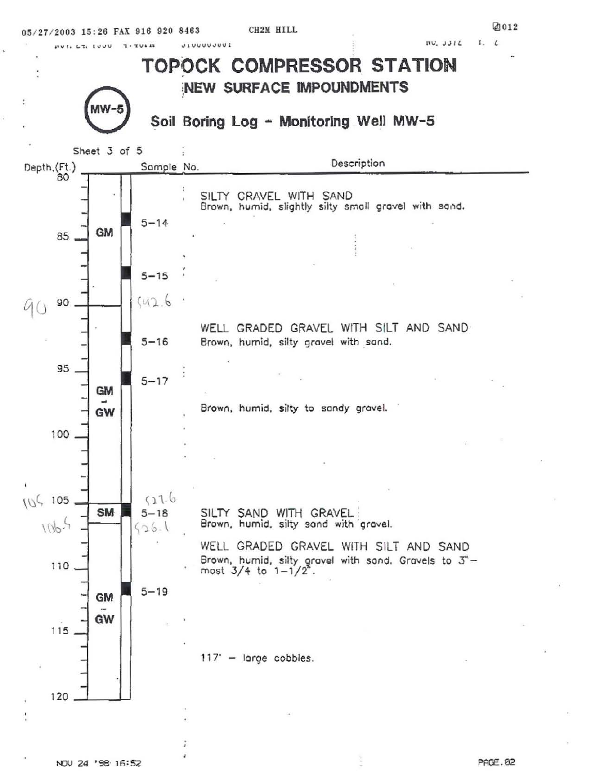$1, 1$  $IVU, JJIL$ 

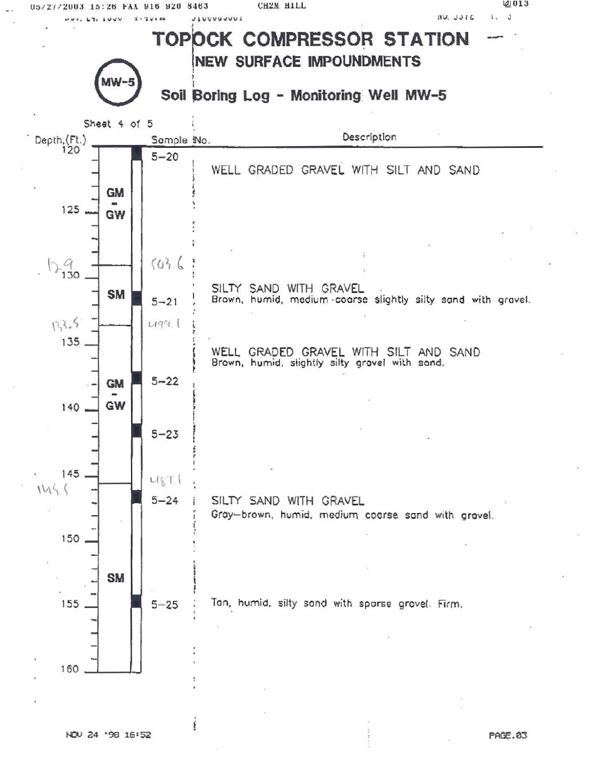